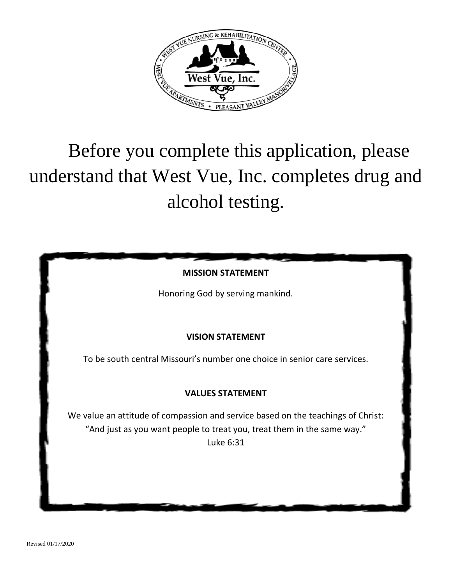

# Before you complete this application, please understand that West Vue, Inc. completes drug and alcohol testing.



Honoring God by serving mankind.

# **VISION STATEMENT**

To be south central Missouri's number one choice in senior care services.

# **VALUES STATEMENT**

We value an attitude of compassion and service based on the teachings of Christ: "And just as you want people to treat you, treat them in the same way." Luke 6:31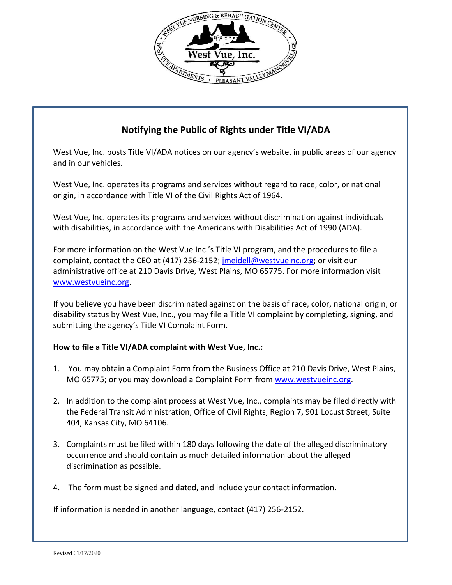

# **Notifying the Public of Rights under Title VI/ADA**

West Vue, Inc. posts Title VI/ADA notices on our agency's website, in public areas of our agency and in our vehicles.

West Vue, Inc. operates its programs and services without regard to race, color, or national origin, in accordance with Title VI of the Civil Rights Act of 1964.

West Vue, Inc. operates its programs and services without discrimination against individuals with disabilities, in accordance with the Americans with Disabilities Act of 1990 (ADA).

For more information on the West Vue Inc.'s Title VI program, and the procedures to file a complaint, contact the CEO at (417) 256-2152[; jmeidell@westvueinc.org;](mailto:jmeidell@westvueinc.org) or visit our administrative office at 210 Davis Drive, West Plains, MO 65775. For more information visit [www.westvueinc.org.](http://www.westvueinc.org/)

If you believe you have been discriminated against on the basis of race, color, national origin, or disability status by West Vue, Inc., you may file a Title VI complaint by completing, signing, and submitting the agency's Title VI Complaint Form.

## **How to file a Title VI/ADA complaint with West Vue, Inc.:**

- 1. You may obtain a Complaint Form from the Business Office at 210 Davis Drive, West Plains, MO 65775; or you may download a Complaint Form from [www.westvueinc.org.](http://www.westvueinc.org/)
- 2. In addition to the complaint process at West Vue, Inc., complaints may be filed directly with the Federal Transit Administration, Office of Civil Rights, Region 7, 901 Locust Street, Suite 404, Kansas City, MO 64106.
- 3. Complaints must be filed within 180 days following the date of the alleged discriminatory occurrence and should contain as much detailed information about the alleged discrimination as possible.
- 4. The form must be signed and dated, and include your contact information.

If information is needed in another language, contact (417) 256-2152.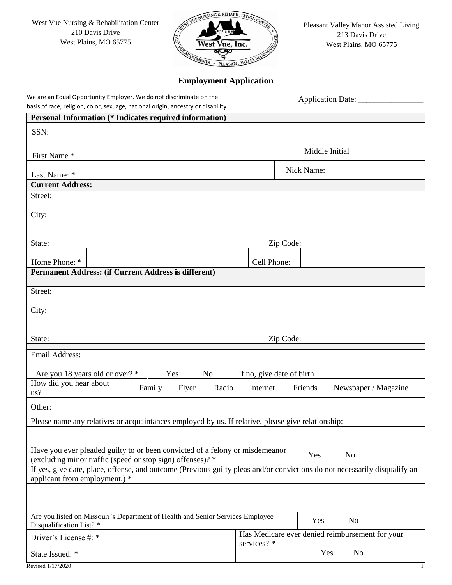West Vue Nursing & Rehabilitation Center 210 Davis Drive West Plains, MO 65775



Pleasant Valley Manor Assisted Living 213 Davis Drive West Plains, MO 65775

## **Employment Application**

We are an Equal Opportunity Employer. We do not discriminate on the basis of race, religion, color, sex, age, national origin, ancestry or disability.

Application Date: \_\_\_\_\_\_\_\_\_\_\_\_\_\_\_\_

| <b>Personal Information (* Indicates required information)</b>                                                                                             |                                                                                                       |  |  |  |            |             |                |           |                                                 |
|------------------------------------------------------------------------------------------------------------------------------------------------------------|-------------------------------------------------------------------------------------------------------|--|--|--|------------|-------------|----------------|-----------|-------------------------------------------------|
| SSN:                                                                                                                                                       |                                                                                                       |  |  |  |            |             |                |           |                                                 |
| First Name*                                                                                                                                                |                                                                                                       |  |  |  |            |             | Middle Initial |           |                                                 |
| Last Name: *                                                                                                                                               |                                                                                                       |  |  |  |            |             | Nick Name:     |           |                                                 |
| <b>Current Address:</b>                                                                                                                                    |                                                                                                       |  |  |  |            |             |                |           |                                                 |
| Street:                                                                                                                                                    |                                                                                                       |  |  |  |            |             |                |           |                                                 |
| City:                                                                                                                                                      |                                                                                                       |  |  |  |            |             |                |           |                                                 |
| State:                                                                                                                                                     |                                                                                                       |  |  |  |            | Zip Code:   |                |           |                                                 |
| Home Phone: *                                                                                                                                              |                                                                                                       |  |  |  |            | Cell Phone: |                |           |                                                 |
| Permanent Address: (if Current Address is different)                                                                                                       |                                                                                                       |  |  |  |            |             |                |           |                                                 |
| Street:                                                                                                                                                    |                                                                                                       |  |  |  |            |             |                |           |                                                 |
| City:                                                                                                                                                      |                                                                                                       |  |  |  |            |             |                |           |                                                 |
| State:                                                                                                                                                     | Zip Code:                                                                                             |  |  |  |            |             |                |           |                                                 |
| Email Address:                                                                                                                                             |                                                                                                       |  |  |  |            |             |                |           |                                                 |
| If no, give date of birth<br>Are you 18 years old or over? *<br>Yes<br>N <sub>o</sub>                                                                      |                                                                                                       |  |  |  |            |             |                |           |                                                 |
| us?                                                                                                                                                        | How did you hear about<br>$\Box$ Flyer<br>Radio   Internet   Friends   Newspaper / Magazine<br>Family |  |  |  |            |             |                |           |                                                 |
| Other:                                                                                                                                                     |                                                                                                       |  |  |  |            |             |                |           |                                                 |
| Please name any relatives or acquaintances employed by us. If relative, please give relationship:                                                          |                                                                                                       |  |  |  |            |             |                |           |                                                 |
|                                                                                                                                                            |                                                                                                       |  |  |  |            |             |                |           |                                                 |
| Have you ever pleaded guilty to or been convicted of a felony or misdemeanor<br>$\Box$ No<br>Yes                                                           |                                                                                                       |  |  |  |            |             |                |           |                                                 |
| (excluding minor traffic (speed or stop sign) offenses)? *                                                                                                 |                                                                                                       |  |  |  |            |             |                |           |                                                 |
| If yes, give date, place, offense, and outcome (Previous guilty pleas and/or convictions do not necessarily disqualify an<br>applicant from employment.) * |                                                                                                       |  |  |  |            |             |                |           |                                                 |
|                                                                                                                                                            |                                                                                                       |  |  |  |            |             |                |           |                                                 |
| Are you listed on Missouri's Department of Health and Senior Services Employee<br>Yes<br>N <sub>o</sub><br>Disqualification List? *                        |                                                                                                       |  |  |  |            |             |                |           |                                                 |
| Driver's License #: *                                                                                                                                      |                                                                                                       |  |  |  | services?* |             |                |           | Has Medicare ever denied reimbursement for your |
| State Issued: *                                                                                                                                            |                                                                                                       |  |  |  |            |             | Yes            | $\mid$ No |                                                 |
| Revised 1/17/2020                                                                                                                                          |                                                                                                       |  |  |  |            |             |                |           | 1                                               |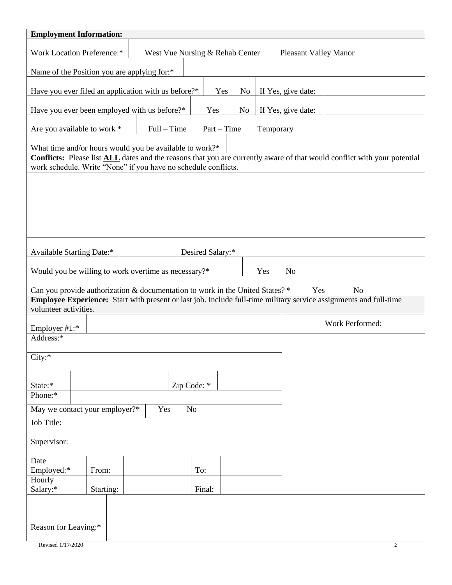| <b>Employment Information:</b>                                                                                                                                                                    |                       |  |  |  |
|---------------------------------------------------------------------------------------------------------------------------------------------------------------------------------------------------|-----------------------|--|--|--|
| West Vue Nursing & Rehab Center<br><b>Work Location Preference:*</b><br><b>Pleasant Valley Manor</b>                                                                                              |                       |  |  |  |
| Name of the Position you are applying for:*                                                                                                                                                       |                       |  |  |  |
| $\Box$ Yes $\Box$ No<br>Have you ever filed an application with us before?*                                                                                                                       | If Yes, give date:    |  |  |  |
| N <sub>o</sub><br>Have you ever been employed with us before?*<br>Yes                                                                                                                             | If Yes, give date:    |  |  |  |
| Full – Time $\Box$ Part – Time $\Box$<br>Are you available to work *                                                                                                                              | Temporary             |  |  |  |
| What time and/or hours would you be available to work?*                                                                                                                                           |                       |  |  |  |
| Conflicts: Please list <b>ALL</b> dates and the reasons that you are currently aware of that would conflict with your potential<br>work schedule. Write "None" if you have no schedule conflicts. |                       |  |  |  |
|                                                                                                                                                                                                   |                       |  |  |  |
|                                                                                                                                                                                                   |                       |  |  |  |
|                                                                                                                                                                                                   |                       |  |  |  |
|                                                                                                                                                                                                   |                       |  |  |  |
|                                                                                                                                                                                                   |                       |  |  |  |
| <b>Available Starting Date:*</b><br>Desired Salary:*                                                                                                                                              |                       |  |  |  |
| Would you be willing to work overtime as necessary?*                                                                                                                                              | $\Box$ Yes $\Box$ No  |  |  |  |
| Can you provide authorization & documentation to work in the United States? *                                                                                                                     | Yes<br>N <sub>o</sub> |  |  |  |
| Employee Experience: Start with present or last job. Include full-time military service assignments and full-time<br>volunteer activities.                                                        |                       |  |  |  |
|                                                                                                                                                                                                   | Work Performed:       |  |  |  |
| Employer $#1$ :*<br>Address:*                                                                                                                                                                     |                       |  |  |  |
|                                                                                                                                                                                                   |                       |  |  |  |
| City:                                                                                                                                                                                             |                       |  |  |  |
| State:*                                                                                                                                                                                           |                       |  |  |  |
| Zip Code: *<br>Phone: $*$                                                                                                                                                                         |                       |  |  |  |
| May we contact your employer?*<br>Yes<br>$\Box$ No<br>$\mathbf{I}$                                                                                                                                |                       |  |  |  |
| Job Title:                                                                                                                                                                                        |                       |  |  |  |
| Supervisor:                                                                                                                                                                                       |                       |  |  |  |
| Date                                                                                                                                                                                              |                       |  |  |  |
| Employed:*<br>From:<br>To:<br>Hourly                                                                                                                                                              |                       |  |  |  |
| Salary:*<br>Final:<br>Starting:                                                                                                                                                                   |                       |  |  |  |
|                                                                                                                                                                                                   |                       |  |  |  |
| Reason for Leaving:*                                                                                                                                                                              |                       |  |  |  |
| Revised 1/17/2020<br>$\overline{c}$                                                                                                                                                               |                       |  |  |  |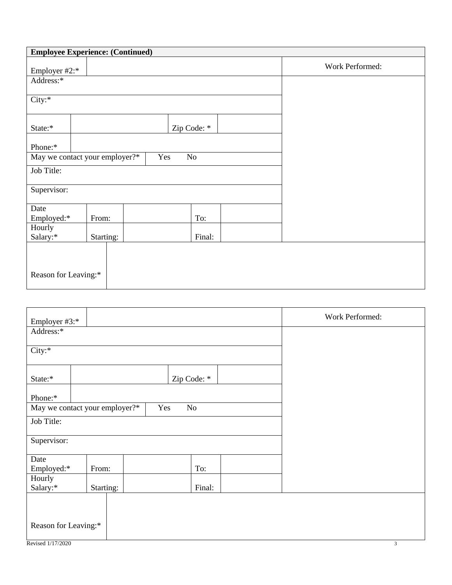|                      | <b>Employee Experience: (Continued)</b> |                                           |                 |
|----------------------|-----------------------------------------|-------------------------------------------|-----------------|
| Employer #2:*        |                                         |                                           | Work Performed: |
| Address:*            |                                         |                                           |                 |
| City:                |                                         |                                           |                 |
| State:*              |                                         |                                           |                 |
| Phone:*              |                                         |                                           |                 |
|                      | May we contact your employer?*          | $\sqrt{\text{No}}$<br>Yes<br>$\mathbf{H}$ |                 |
| Job Title:           |                                         |                                           |                 |
| Supervisor:          |                                         |                                           |                 |
| Date                 |                                         |                                           |                 |
| Employed:*           | From:                                   | To:                                       |                 |
| Hourly<br>Salary:*   | Starting:                               | Final:                                    |                 |
|                      |                                         |                                           |                 |
| Reason for Leaving:* |                                         |                                           |                 |

| Employer #3:*                  |           |                        |             | Work Performed: |
|--------------------------------|-----------|------------------------|-------------|-----------------|
| Address:*                      |           |                        |             |                 |
| City:*                         |           |                        |             |                 |
| State:*                        |           |                        | Zip Code: * |                 |
| Phone:*                        |           |                        |             |                 |
| May we contact your employer?* |           | Yes<br>7N <sub>0</sub> |             |                 |
| Job Title:                     |           |                        |             |                 |
| Supervisor:                    |           |                        |             |                 |
| Date                           |           |                        |             |                 |
| Employed:*                     | From:     |                        | To:         |                 |
| Hourly                         |           |                        |             |                 |
| Salary:*                       | Starting: |                        | Final:      |                 |
| Reason for Leaving:*           |           |                        |             |                 |
| Revised 1/17/2020              |           |                        |             | 3               |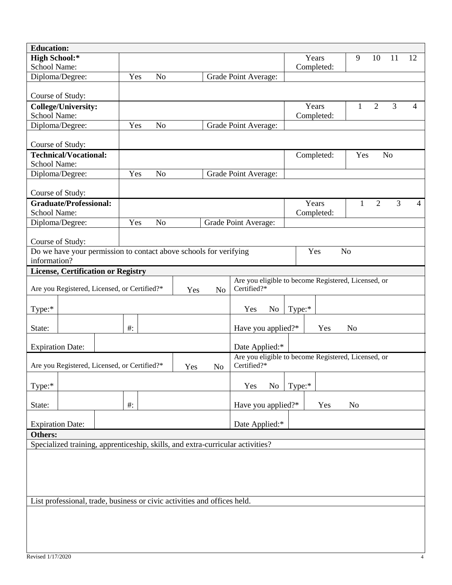| <b>Education:</b>                                                                                                                           |                                                                   |                                                     |                       |                                      |  |
|---------------------------------------------------------------------------------------------------------------------------------------------|-------------------------------------------------------------------|-----------------------------------------------------|-----------------------|--------------------------------------|--|
| <b>High School:*</b>                                                                                                                        |                                                                   |                                                     | Years                 | $9 \square 10 \square 11 \square 12$ |  |
| School Name:                                                                                                                                |                                                                   |                                                     | Completed:            |                                      |  |
| Diploma/Degree:                                                                                                                             | Yes<br>N <sub>o</sub>                                             | Grade Point Average:                                |                       |                                      |  |
|                                                                                                                                             |                                                                   |                                                     |                       |                                      |  |
| Course of Study:                                                                                                                            |                                                                   |                                                     |                       |                                      |  |
| College/University:                                                                                                                         |                                                                   |                                                     | Years                 | $\Box$ 1 $\Box$ 2 $\Box$ 3           |  |
| School Name:                                                                                                                                |                                                                   |                                                     | Completed:            |                                      |  |
| Diploma/Degree:                                                                                                                             | Yes <sup>1</sup><br>] No                                          | Grade Point Average:                                |                       |                                      |  |
| Course of Study:                                                                                                                            |                                                                   |                                                     |                       |                                      |  |
| <b>Technical/Vocational:</b>                                                                                                                |                                                                   |                                                     | Completed:            | $Yes \Box No$                        |  |
| <b>School Name:</b>                                                                                                                         |                                                                   |                                                     |                       |                                      |  |
| Diploma/Degree:                                                                                                                             | Yes<br>N <sub>o</sub>                                             | Grade Point Average:                                |                       |                                      |  |
| Course of Study:                                                                                                                            |                                                                   |                                                     |                       |                                      |  |
| <b>Graduate/Professional:</b>                                                                                                               |                                                                   |                                                     | Years                 | $1 \square 2$<br>3                   |  |
| School Name:                                                                                                                                |                                                                   |                                                     | Completed:            |                                      |  |
| Diploma/Degree:                                                                                                                             | Yes<br>N <sub>o</sub>                                             | Grade Point Average:                                |                       |                                      |  |
|                                                                                                                                             |                                                                   |                                                     |                       |                                      |  |
| Course of Study:                                                                                                                            |                                                                   |                                                     |                       |                                      |  |
|                                                                                                                                             | Do we have your permission to contact above schools for verifying |                                                     | N <sub>o</sub><br>Yes |                                      |  |
| information?                                                                                                                                |                                                                   |                                                     |                       |                                      |  |
| <b>License, Certification or Registry</b>                                                                                                   |                                                                   |                                                     |                       |                                      |  |
|                                                                                                                                             |                                                                   | Are you eligible to become Registered, Licensed, or |                       |                                      |  |
| Are you Registered, Licensed, or Certified?*                                                                                                | Yes<br>lNo                                                        | Certified?*                                         |                       |                                      |  |
| Type:*                                                                                                                                      |                                                                   | $Yes \Box No$                                       | Type:*                |                                      |  |
| State:                                                                                                                                      | $#$ :                                                             | Have you applied?*                                  | $\Box$ No<br>Yes      |                                      |  |
|                                                                                                                                             |                                                                   |                                                     |                       |                                      |  |
| Date Applied:*<br><b>Expiration Date:</b>                                                                                                   |                                                                   |                                                     |                       |                                      |  |
| Are you eligible to become Registered, Licensed, or<br>Certified?*<br>Are you Registered, Licensed, or Certified?*<br>Yes<br>N <sub>o</sub> |                                                                   |                                                     |                       |                                      |  |
| Type:*                                                                                                                                      |                                                                   | $\gamma$ es $\Box$ No                               | Type: $*$             |                                      |  |
|                                                                                                                                             | $#$ :                                                             |                                                     | Yes                   | N <sub>o</sub>                       |  |
| State:                                                                                                                                      |                                                                   | Have you applied?*                                  |                       |                                      |  |
| <b>Expiration Date:</b>                                                                                                                     |                                                                   | Date Applied:*                                      |                       |                                      |  |
| Others:                                                                                                                                     |                                                                   |                                                     |                       |                                      |  |
| Specialized training, apprenticeship, skills, and extra-curricular activities?                                                              |                                                                   |                                                     |                       |                                      |  |
|                                                                                                                                             |                                                                   |                                                     |                       |                                      |  |
|                                                                                                                                             |                                                                   |                                                     |                       |                                      |  |
|                                                                                                                                             |                                                                   |                                                     |                       |                                      |  |
|                                                                                                                                             |                                                                   |                                                     |                       |                                      |  |
| List professional, trade, business or civic activities and offices held.                                                                    |                                                                   |                                                     |                       |                                      |  |
|                                                                                                                                             |                                                                   |                                                     |                       |                                      |  |
|                                                                                                                                             |                                                                   |                                                     |                       |                                      |  |
|                                                                                                                                             |                                                                   |                                                     |                       |                                      |  |
|                                                                                                                                             |                                                                   |                                                     |                       |                                      |  |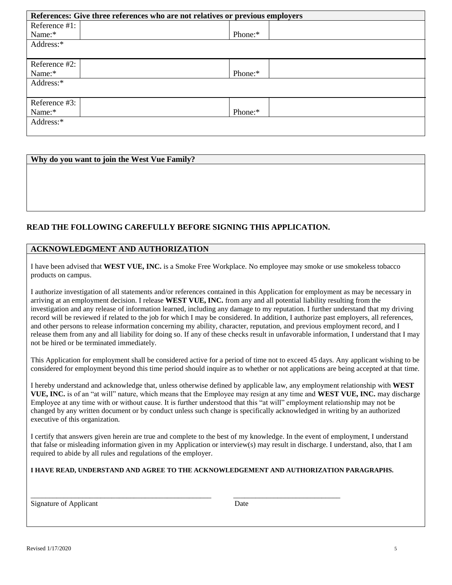| References: Give three references who are not relatives or previous employers |         |  |  |
|-------------------------------------------------------------------------------|---------|--|--|
| Reference #1:                                                                 |         |  |  |
| Name:*                                                                        | Phone:* |  |  |
| Address:*                                                                     |         |  |  |
|                                                                               |         |  |  |
| Reference #2:                                                                 |         |  |  |
| Name:*                                                                        | Phone:* |  |  |
| Address:*                                                                     |         |  |  |
|                                                                               |         |  |  |
| Reference #3:                                                                 |         |  |  |
| Name:*                                                                        | Phone:* |  |  |
| Address:*                                                                     |         |  |  |
|                                                                               |         |  |  |

#### **Why do you want to join the West Vue Family?**

### **READ THE FOLLOWING CAREFULLY BEFORE SIGNING THIS APPLICATION.**

#### **ACKNOWLEDGMENT AND AUTHORIZATION**

I have been advised that **WEST VUE, INC.** is a Smoke Free Workplace. No employee may smoke or use smokeless tobacco products on campus.

I authorize investigation of all statements and/or references contained in this Application for employment as may be necessary in arriving at an employment decision. I release **WEST VUE, INC.** from any and all potential liability resulting from the investigation and any release of information learned, including any damage to my reputation. I further understand that my driving record will be reviewed if related to the job for which I may be considered. In addition, I authorize past employers, all references, and other persons to release information concerning my ability, character, reputation, and previous employment record, and I release them from any and all liability for doing so. If any of these checks result in unfavorable information, I understand that I may not be hired or be terminated immediately.

This Application for employment shall be considered active for a period of time not to exceed 45 days. Any applicant wishing to be considered for employment beyond this time period should inquire as to whether or not applications are being accepted at that time.

I hereby understand and acknowledge that, unless otherwise defined by applicable law, any employment relationship with **WEST VUE, INC.** is of an "at will" nature, which means that the Employee may resign at any time and **WEST VUE, INC.** may discharge Employee at any time with or without cause. It is further understood that this "at will" employment relationship may not be changed by any written document or by conduct unless such change is specifically acknowledged in writing by an authorized executive of this organization.

I certify that answers given herein are true and complete to the best of my knowledge. In the event of employment, I understand that false or misleading information given in my Application or interview(s) may result in discharge. I understand, also, that I am required to abide by all rules and regulations of the employer.

**I HAVE READ, UNDERSTAND AND AGREE TO THE ACKNOWLEDGEMENT AND AUTHORIZATION PARAGRAPHS.**

\_\_\_\_\_\_\_\_\_\_\_\_\_\_\_\_\_\_\_\_\_\_\_\_\_\_\_\_\_\_\_\_\_\_\_\_\_\_\_\_\_\_\_\_\_\_\_\_\_ \_\_\_\_\_\_\_\_\_\_\_\_\_\_\_\_\_\_\_\_\_\_\_\_\_\_\_\_\_

Signature of Applicant Date